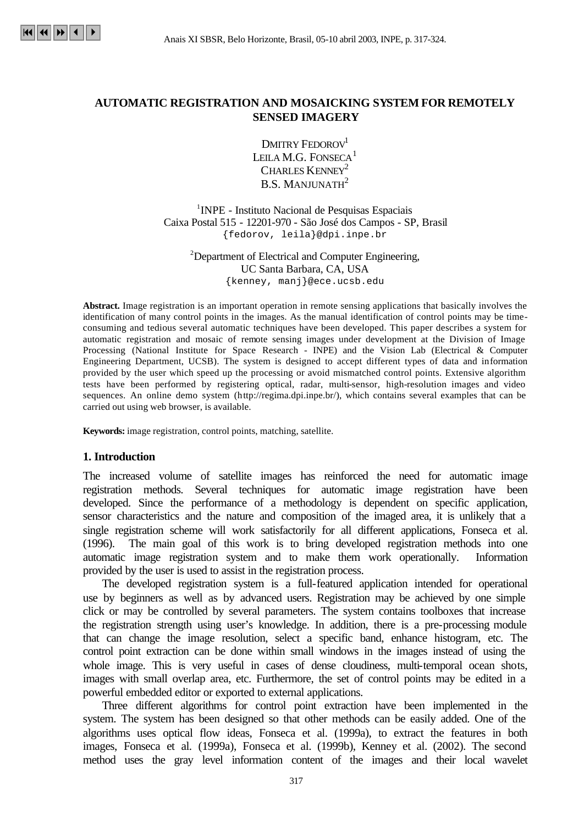

# **AUTOMATIC REGISTRATION AND MOSAICKING SYSTEM FOR REMOTELY SENSED IMAGERY**

DMITRY FEDOROV<sup>1</sup> LEILA M.G. FONSECA $<sup>1</sup>$ </sup> CHARLES KENNEY<sup>2</sup> **B.S. MANJUNATH** $2$ 

<sup>1</sup>INPE - Instituto Nacional de Pesquisas Espaciais Caixa Postal 515 - 12201-970 - São José dos Campos - SP, Brasil {fedorov, leila}@dpi.inpe.br

 $2$ Department of Electrical and Computer Engineering, UC Santa Barbara, CA, USA {kenney, manj}@ece.ucsb.edu

**Abstract.** Image registration is an important operation in remote sensing applications that basically involves the identification of many control points in the images. As the manual identification of control points may be timeconsuming and tedious several automatic techniques have been developed. This paper describes a system for automatic registration and mosaic of remote sensing images under development at the Division of Image Processing (National Institute for Space Research - INPE) and the Vision Lab (Electrical & Computer Engineering Department, UCSB). The system is designed to accept different types of data and information provided by the user which speed up the processing or avoid mismatched control points. Extensive algorithm tests have been performed by registering optical, radar, multi-sensor, high-resolution images and video sequences. An online demo system (http://regima.dpi.inpe.br/), which contains several examples that can be carried out using web browser, is available.

**Keywords:** image registration, control points, matching, satellite.

#### **1. Introduction**

The increased volume of satellite images has reinforced the need for automatic image registration methods. Several techniques for automatic image registration have been developed. Since the performance of a methodology is dependent on specific application, sensor characteristics and the nature and composition of the imaged area, it is unlikely that a single registration scheme will work satisfactorily for all different applications, Fonseca et al. (1996). The main goal of this work is to bring developed registration methods into one automatic image registration system and to make them work operationally. Information provided by the user is used to assist in the registration process.

The developed registration system is a full-featured application intended for operational use by beginners as well as by advanced users. Registration may be achieved by one simple click or may be controlled by several parameters. The system contains toolboxes that increase the registration strength using user's knowledge. In addition, there is a pre-processing module that can change the image resolution, select a specific band, enhance histogram, etc. The control point extraction can be done within small windows in the images instead of using the whole image. This is very useful in cases of dense cloudiness, multi-temporal ocean shots, images with small overlap area, etc. Furthermore, the set of control points may be edited in a powerful embedded editor or exported to external applications.

Three different algorithms for control point extraction have been implemented in the system. The system has been designed so that other methods can be easily added. One of the algorithms uses optical flow ideas, Fonseca et al. (1999a), to extract the features in both images, Fonseca et al. (1999a), Fonseca et al. (1999b), Kenney et al. (2002). The second method uses the gray level information content of the images and their local wavelet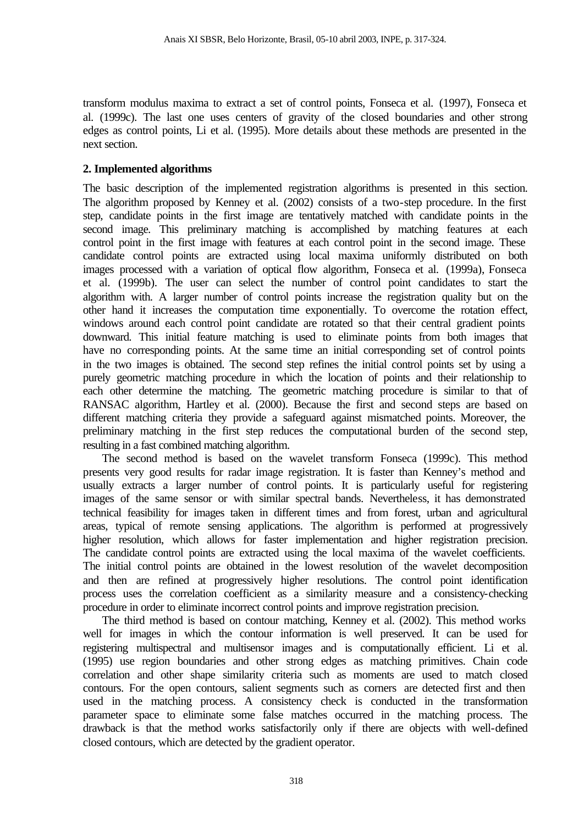transform modulus maxima to extract a set of control points, Fonseca et al. (1997), Fonseca et al. (1999c). The last one uses centers of gravity of the closed boundaries and other strong edges as control points, Li et al. (1995). More details about these methods are presented in the next section.

## **2. Implemented algorithms**

The basic description of the implemented registration algorithms is presented in this section. The algorithm proposed by Kenney et al. (2002) consists of a two-step procedure. In the first step, candidate points in the first image are tentatively matched with candidate points in the second image. This preliminary matching is accomplished by matching features at each control point in the first image with features at each control point in the second image. These candidate control points are extracted using local maxima uniformly distributed on both images processed with a variation of optical flow algorithm, Fonseca et al. (1999a), Fonseca et al. (1999b). The user can select the number of control point candidates to start the algorithm with. A larger number of control points increase the registration quality but on the other hand it increases the computation time exponentially. To overcome the rotation effect, windows around each control point candidate are rotated so that their central gradient points downward. This initial feature matching is used to eliminate points from both images that have no corresponding points. At the same time an initial corresponding set of control points in the two images is obtained. The second step refines the initial control points set by using a purely geometric matching procedure in which the location of points and their relationship to each other determine the matching. The geometric matching procedure is similar to that of RANSAC algorithm, Hartley et al. (2000). Because the first and second steps are based on different matching criteria they provide a safeguard against mismatched points. Moreover, the preliminary matching in the first step reduces the computational burden of the second step, resulting in a fast combined matching algorithm.

The second method is based on the wavelet transform Fonseca (1999c). This method presents very good results for radar image registration. It is faster than Kenney's method and usually extracts a larger number of control points. It is particularly useful for registering images of the same sensor or with similar spectral bands. Nevertheless, it has demonstrated technical feasibility for images taken in different times and from forest, urban and agricultural areas, typical of remote sensing applications. The algorithm is performed at progressively higher resolution, which allows for faster implementation and higher registration precision. The candidate control points are extracted using the local maxima of the wavelet coefficients. The initial control points are obtained in the lowest resolution of the wavelet decomposition and then are refined at progressively higher resolutions. The control point identification process uses the correlation coefficient as a similarity measure and a consistency-checking procedure in order to eliminate incorrect control points and improve registration precision.

The third method is based on contour matching, Kenney et al. (2002). This method works well for images in which the contour information is well preserved. It can be used for registering multispectral and multisensor images and is computationally efficient. Li et al. (1995) use region boundaries and other strong edges as matching primitives. Chain code correlation and other shape similarity criteria such as moments are used to match closed contours. For the open contours, salient segments such as corners are detected first and then used in the matching process. A consistency check is conducted in the transformation parameter space to eliminate some false matches occurred in the matching process. The drawback is that the method works satisfactorily only if there are objects with well-defined closed contours, which are detected by the gradient operator.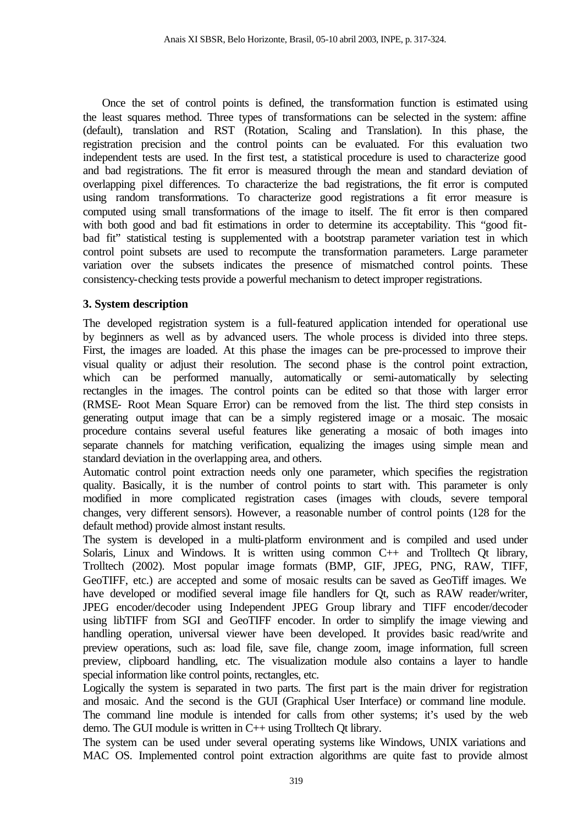Once the set of control points is defined, the transformation function is estimated using the least squares method. Three types of transformations can be selected in the system: affine (default), translation and RST (Rotation, Scaling and Translation). In this phase, the registration precision and the control points can be evaluated. For this evaluation two independent tests are used. In the first test, a statistical procedure is used to characterize good and bad registrations. The fit error is measured through the mean and standard deviation of overlapping pixel differences. To characterize the bad registrations, the fit error is computed using random transformations. To characterize good registrations a fit error measure is computed using small transformations of the image to itself. The fit error is then compared with both good and bad fit estimations in order to determine its acceptability. This "good fitbad fit" statistical testing is supplemented with a bootstrap parameter variation test in which control point subsets are used to recompute the transformation parameters. Large parameter variation over the subsets indicates the presence of mismatched control points. These consistency-checking tests provide a powerful mechanism to detect improper registrations.

# **3. System description**

The developed registration system is a full-featured application intended for operational use by beginners as well as by advanced users. The whole process is divided into three steps. First, the images are loaded. At this phase the images can be pre-processed to improve their visual quality or adjust their resolution. The second phase is the control point extraction, which can be performed manually, automatically or semi-automatically by selecting rectangles in the images. The control points can be edited so that those with larger error (RMSE- Root Mean Square Error) can be removed from the list. The third step consists in generating output image that can be a simply registered image or a mosaic. The mosaic procedure contains several useful features like generating a mosaic of both images into separate channels for matching verification, equalizing the images using simple mean and standard deviation in the overlapping area, and others.

Automatic control point extraction needs only one parameter, which specifies the registration quality. Basically, it is the number of control points to start with. This parameter is only modified in more complicated registration cases (images with clouds, severe temporal changes, very different sensors). However, a reasonable number of control points (128 for the default method) provide almost instant results.

The system is developed in a multi-platform environment and is compiled and used under Solaris, Linux and Windows. It is written using common C++ and Trolltech Qt library, Trolltech (2002). Most popular image formats (BMP, GIF, JPEG, PNG, RAW, TIFF, GeoTIFF, etc.) are accepted and some of mosaic results can be saved as GeoTiff images. We have developed or modified several image file handlers for Qt, such as RAW reader/writer, JPEG encoder/decoder using Independent JPEG Group library and TIFF encoder/decoder using libTIFF from SGI and GeoTIFF encoder. In order to simplify the image viewing and handling operation, universal viewer have been developed. It provides basic read/write and preview operations, such as: load file, save file, change zoom, image information, full screen preview, clipboard handling, etc. The visualization module also contains a layer to handle special information like control points, rectangles, etc.

Logically the system is separated in two parts. The first part is the main driver for registration and mosaic. And the second is the GUI (Graphical User Interface) or command line module. The command line module is intended for calls from other systems; it's used by the web demo. The GUI module is written in C++ using Trolltech Qt library.

The system can be used under several operating systems like Windows, UNIX variations and MAC OS. Implemented control point extraction algorithms are quite fast to provide almost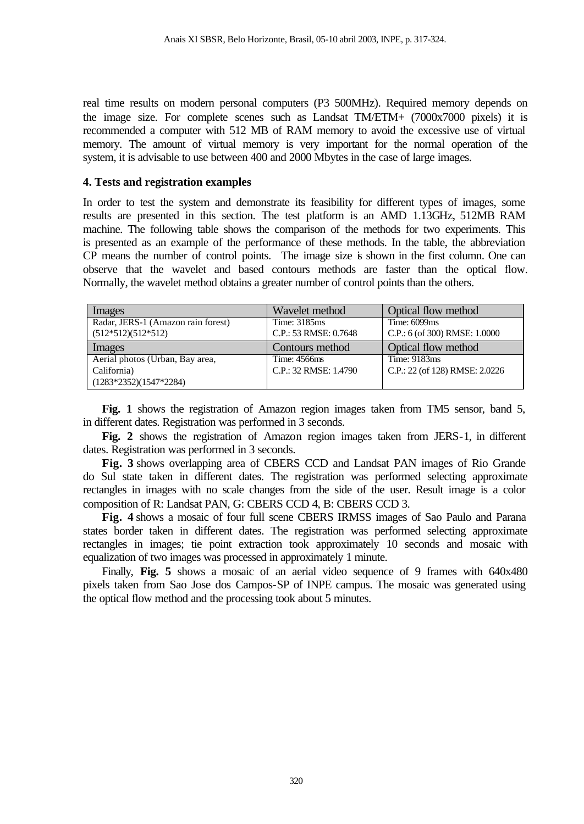real time results on modern personal computers (P3 500MHz). Required memory depends on the image size. For complete scenes such as Landsat TM/ETM+ (7000x7000 pixels) it is recommended a computer with 512 MB of RAM memory to avoid the excessive use of virtual memory. The amount of virtual memory is very important for the normal operation of the system, it is advisable to use between 400 and 2000 Mbytes in the case of large images.

#### **4. Tests and registration examples**

In order to test the system and demonstrate its feasibility for different types of images, some results are presented in this section. The test platform is an AMD 1.13GHz, 512MB RAM machine. The following table shows the comparison of the methods for two experiments. This is presented as an example of the performance of these methods. In the table, the abbreviation CP means the number of control points. The image size is shown in the first column. One can observe that the wavelet and based contours methods are faster than the optical flow. Normally, the wavelet method obtains a greater number of control points than the others.

| Images                                  | Wavelet method        | Optical flow method            |
|-----------------------------------------|-----------------------|--------------------------------|
| Radar, JERS-1 (Amazon rain forest)      | Time: 3185ms          | Time: 6099ms                   |
| $(512*512)(512*512)$                    | C.P.: 53 RMSE: 0.7648 | C.P.: 6 (of 300) RMSE: 1.0000  |
| Images                                  | Contours method       | Optical flow method            |
| Aerial photos (Urban, Bay area,         | Time: 4566ms          | Time: 9183ms                   |
| California)<br>$(1283*2352)(1547*2284)$ | C.P.: 32 RMSE: 1.4790 | C.P.: 22 (of 128) RMSE: 2.0226 |

**Fig. 1** shows the registration of Amazon region images taken from TM5 sensor, band 5, in different dates. Registration was performed in 3 seconds.

**Fig. 2** shows the registration of Amazon region images taken from JERS-1, in different dates. Registration was performed in 3 seconds.

**Fig. 3** shows overlapping area of CBERS CCD and Landsat PAN images of Rio Grande do Sul state taken in different dates. The registration was performed selecting approximate rectangles in images with no scale changes from the side of the user. Result image is a color composition of R: Landsat PAN, G: CBERS CCD 4, B: CBERS CCD 3.

**Fig. 4** shows a mosaic of four full scene CBERS IRMSS images of Sao Paulo and Parana states border taken in different dates. The registration was performed selecting approximate rectangles in images; tie point extraction took approximately 10 seconds and mosaic with equalization of two images was processed in approximately 1 minute.

Finally, **Fig. 5** shows a mosaic of an aerial video sequence of 9 frames with 640x480 pixels taken from Sao Jose dos Campos-SP of INPE campus. The mosaic was generated using the optical flow method and the processing took about 5 minutes.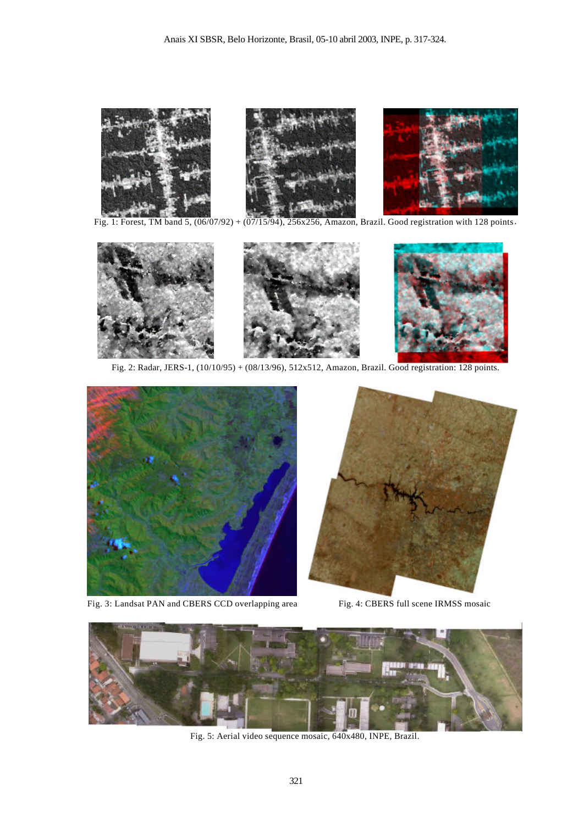

Fig. 1: Forest, TM band 5, (06/07/92) + (07/15/94), 256x256, Amazon, Brazil. Good registration with 128 points.



Fig. 2: Radar, JERS-1, (10/10/95) + (08/13/96), 512x512, Amazon, Brazil. Good registration: 128 points.



Fig. 3: Landsat PAN and CBERS CCD overlapping area Fig. 4: CBERS full scene IRMSS mosaic





Fig. 5: Aerial video sequence mosaic, 640x480, INPE, Brazil.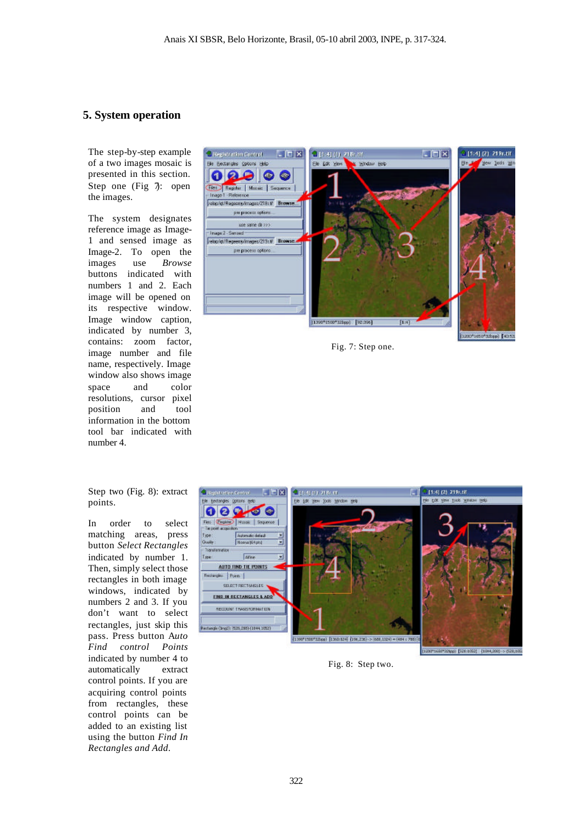#### **5. System operation**

The step-by-step example of a two images mosaic is presented in this section. Step one (Fig  $\bar{\jmath}$ : open the images.

The system designates reference image as Image-1 and sensed image as Image-2. To open the images use *Browse* buttons indicated with numbers 1 and 2. Each image will be opened on its respective window. Image window caption, indicated by number 3, contains: zoom factor, image number and file name, respectively. Image window also shows image space and color resolutions, cursor pixel position and tool information in the bottom tool bar indicated with number 4.

Step two (Fig. 8): extract points.

In order to select matching areas, press button *Select Rectangles* indicated by number 1. Then, simply select those rectangles in both image windows, indicated by numbers 2 and 3. If you don't want to select rectangles, just skip this pass. Press button A*uto Find control Points* indicated by number 4 to automatically extract control points. If you are acquiring control points from rectangles, these control points can be added to an existing list using the button *Find In Rectangles and Add*.



Fig. 7: Step one.



Fig. 8: Step two.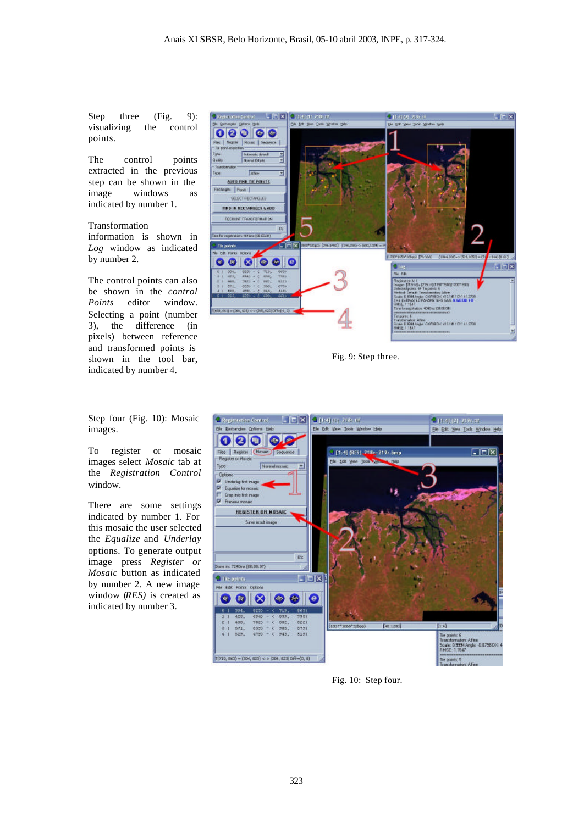Step three (Fig. 9): visualizing the control points.

The control points extracted in the previous step can be shown in the image windows as indicated by number 1.

#### Transformation

information is shown in *Log* window as indicated by number 2.

The control points can also be shown in the *control Points* editor window. Selecting a point (number 3), the difference (in pixels) between reference and transformed points is shown in the tool bar, indicated by number 4.

Step four (Fig. 10): Mosaic images.

To register or mosaic images select *Mosaic* tab at the *Registration Control* window.

There are some settings indicated by number 1. For this mosaic the user selected the *Equalize* and *Underlay* options. To generate output image press *Register or Mosaic* button as indicated by number 2. A new image window (*RES)* is created as indicated by number 3.



Fig. 9: Step three.



Fig. 10: Step four.